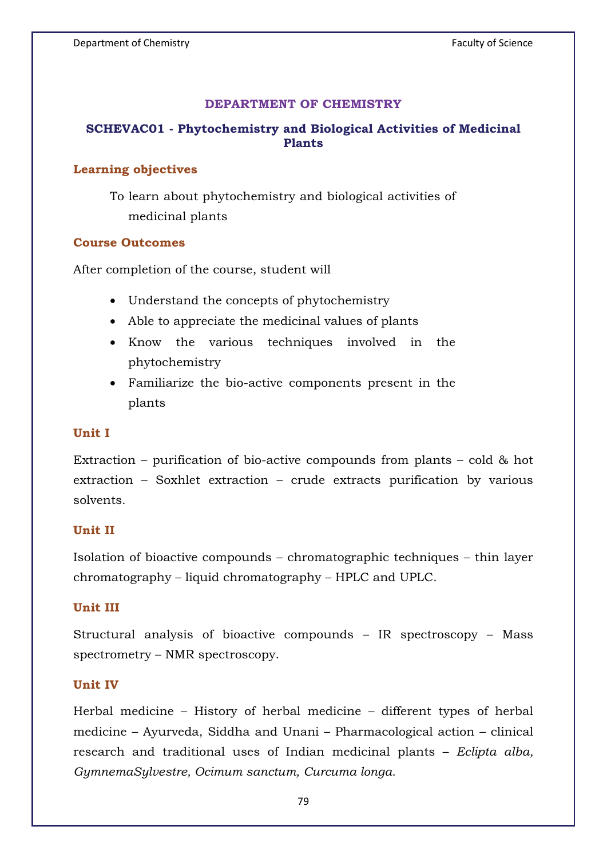#### **DEPARTMENT OF CHEMISTRY**

# **SCHEVAC01 - Phytochemistry and Biological Activities of Medicinal Plants**

#### **Learning objectives**

To learn about phytochemistry and biological activities of medicinal plants

#### **Course Outcomes**

After completion of the course, student will

- Understand the concepts of phytochemistry
- Able to appreciate the medicinal values of plants
- Know the various techniques involved in the phytochemistry
- Familiarize the bio-active components present in the plants

### **Unit I**

Extraction – purification of bio-active compounds from plants – cold & hot extraction – Soxhlet extraction – crude extracts purification by various solvents.

### **Unit II**

Isolation of bioactive compounds – chromatographic techniques – thin layer chromatography – liquid chromatography – HPLC and UPLC.

## **Unit III**

Structural analysis of bioactive compounds – IR spectroscopy – Mass spectrometry – NMR spectroscopy.

### **Unit IV**

Herbal medicine – History of herbal medicine – different types of herbal medicine – Ayurveda, Siddha and Unani – Pharmacological action – clinical research and traditional uses of Indian medicinal plants – *Eclipta alba, GymnemaSylvestre, Ocimum sanctum, Curcuma longa.*